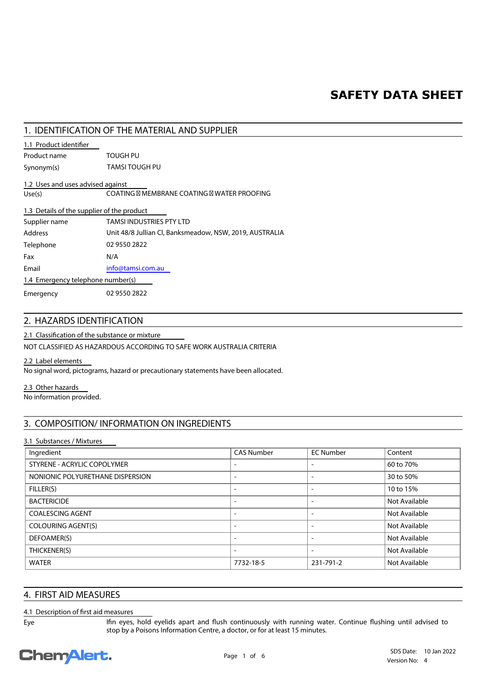## **SAFETY DATA SHEET**

## **1. IDENTIFICATION OF THE MATERIAL AND SUPPLIER**

## **1.1 Product identifier**

**Synonym(s)** TAMSI TOUGH PU **Product name TOUGH PU**

## **1.2 Uses and uses advised against**

**Use(s)** COATING MEMBRANE COATING WATER PROOFING

| 1.3 Details of the supplier of the product |                                                         |  |
|--------------------------------------------|---------------------------------------------------------|--|
| Supplier name                              | TAMSI INDUSTRIES PTY LTD                                |  |
| Address                                    | Unit 48/8 Jullian Cl, Banksmeadow, NSW, 2019, AUSTRALIA |  |
| Telephone                                  | 02 9550 2822                                            |  |
| Fax                                        | N/A                                                     |  |
| Email                                      | info@tamsi.com.au                                       |  |
| 1.4 Emergency telephone number(s)          |                                                         |  |
| Emergency                                  | 02 9550 2822                                            |  |

## **2. HAZARDS IDENTIFICATION**

## 2.1 Classification of the substance or mixture

NOT CLASSIFIED AS HAZARDOUS ACCORDING TO SAFE WORK AUSTRALIA CRITERIA

#### **2.2 Label elements**

No signal word, pictograms, hazard or precautionary statements have been allocated.

## **2.3 Other hazards**

No information provided.

## **3. COMPOSITION/ INFORMATION ON INGREDIENTS**

## **3.1 Substances / Mixtures**

| Ingredient                       | <b>CAS Number</b>        | <b>EC Number</b>         | Content       |
|----------------------------------|--------------------------|--------------------------|---------------|
| STYRENE - ACRYLIC COPOLYMER      |                          | $\overline{\phantom{a}}$ | 60 to 70%     |
| NONIONIC POLYURETHANE DISPERSION | $\overline{\phantom{0}}$ | $\overline{\phantom{a}}$ | 30 to 50%     |
| FILLER(S)                        |                          | $\overline{\phantom{a}}$ | 10 to 15%     |
| <b>BACTERICIDE</b>               |                          | $\overline{\phantom{a}}$ | Not Available |
| <b>COALESCING AGENT</b>          |                          | $\overline{\phantom{a}}$ | Not Available |
| <b>COLOURING AGENT(S)</b>        |                          | $\overline{\phantom{a}}$ | Not Available |
| DEFOAMER(S)                      |                          | $\overline{\phantom{a}}$ | Not Available |
| THICKENER(S)                     |                          |                          | Not Available |
| <b>WATER</b>                     | 7732-18-5                | 231-791-2                | Not Available |

## **4. FIRST AID MEASURES**

## **4.1 Description of first aid measures**

**Eye**

Ifin eyes, hold eyelids apart and flush continuously with running water. Continue flushing until advised to stop by a Poisons Information Centre, a doctor, or for at least 15 minutes.

## **Chemalert.**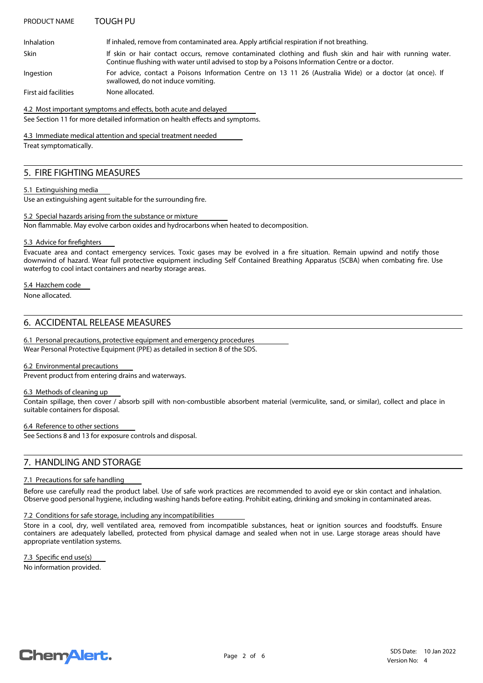#### **PRODUCT NAME TOUGH PU**

Inhalation **If inhaled, remove from contaminated area.** Apply artificial respiration if not breathing.

**Skin**

If skin or hair contact occurs, remove contaminated clothing and flush skin and hair with running water.

Continue flushing with water until advised to stop by a Poisons Information Centre or a doctor.

For advice, contact a Poisons Information Centre on 13 11 26 (Australia Wide) or a doctor (at once). If swallowed, do not induce vomiting. **Ingestion**

**First aid facilities** None allocated.

See Section 11 for more detailed information on health effects and symptoms. 4.2 Most important symptoms and effects, both acute and delayed

**4.3 Immediate medical attention and special treatment needed**

Treat symptomatically.

## **5. FIRE FIGHTING MEASURES**

#### **5.1 Extinguishing media**

 $\overline{Use an}$  extinguishing agent suitable for the surrounding fire.

Non flammable. May evolve carbon oxides and hydrocarbons when heated to decomposition. **5.2 Special hazards arising from the substance or mixture**

#### **5.3 Advice for firefighters**

Evacuate area and contact emergency services. Toxic gases may be evolved in a fire situation. Remain upwind and notify those downwind of hazard. Wear full protective equipment including Self Contained Breathing Apparatus (SCBA) when combating fire. Use waterfog to cool intact containers and nearby storage areas.

## **5.4 Hazchem code**

None allocated.

## **6. ACCIDENTAL RELEASE MEASURES**

Wear Personal Protective Equipment (PPE) as detailed in section 8 of the SDS. **6.1 Personal precautions, protective equipment and emergency procedures**

#### **6.2 Environmental precautions**

Prevent product from entering drains and waterways.

#### **6.3 Methods of cleaning up**

Contain spillage, then cover / absorb spill with non-combustible absorbent material (vermiculite, sand, or similar), collect and place in suitable containers for disposal.

## **6.4 Reference to other sections**

See Sections 8 and 13 for exposure controls and disposal.

## **7. HANDLING AND STORAGE**

## **7.1 Precautions for safe handling**

Before use carefully read the product label. Use of safe work practices are recommended to avoid eye or skin contact and inhalation. Observe good personal hygiene, including washing hands before eating. Prohibit eating, drinking and smoking in contaminated areas.

#### **7.2 Conditions for safe storage, including any incompatibilities**

Store in a cool, dry, well ventilated area, removed from incompatible substances, heat or ignition sources and foodstuffs. Ensure containers are adequately labelled, protected from physical damage and sealed when not in use. Large storage areas should have appropriate ventilation systems.

No information provided. 7.3 Specific end use(s)

## **ChemAlert.**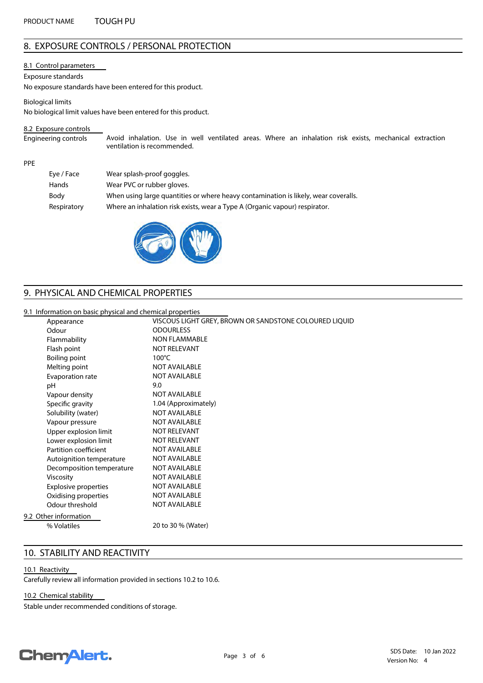## **8. EXPOSURE CONTROLS / PERSONAL PROTECTION**

#### **8.1 Control parameters**

#### **Exposure standards**

No exposure standards have been entered for this product.

**Biological limits**

No biological limit values have been entered for this product.

#### **8.2 Exposure controls**

Avoid inhalation. Use in well ventilated areas. Where an inhalation risk exists, mechanical extraction ventilation is recommended. **Engineering controls**

#### **PPE**

| Eye / Face  | Wear splash-proof goggles.                                                          |
|-------------|-------------------------------------------------------------------------------------|
| Hands       | Wear PVC or rubber gloves.                                                          |
| Body        | When using large quantities or where heavy contamination is likely, wear coveralls. |
| Respiratory | Where an inhalation risk exists, wear a Type A (Organic vapour) respirator.         |
|             |                                                                                     |



## **9. PHYSICAL AND CHEMICAL PROPERTIES**

#### **9.1 Information on basic physical and chemical properties**

| Appearance                  | VISCOUS LIGHT GREY, BROWN OR SANDSTONE COLOURED LIQUID |
|-----------------------------|--------------------------------------------------------|
|                             | <b>ODOURLESS</b>                                       |
| Flammability                | <b>NON FLAMMABLE</b>                                   |
|                             | <b>NOT RELEVANT</b>                                    |
| Boiling point               | $100^{\circ}$ C                                        |
| Melting point               | <b>NOT AVAILABLE</b>                                   |
| Evaporation rate            | <b>NOT AVAILABLE</b>                                   |
|                             | 9.0                                                    |
| Vapour density              | <b>NOT AVAILABLE</b>                                   |
| Specific gravity            | 1.04 (Approximately)                                   |
| Solubility (water)          | <b>NOT AVAILABLE</b>                                   |
| Vapour pressure             | <b>NOT AVAILABLE</b>                                   |
| Upper explosion limit       | <b>NOT RELEVANT</b>                                    |
| Lower explosion limit       | <b>NOT RELEVANT</b>                                    |
| Partition coefficient       | <b>NOT AVAILABLE</b>                                   |
| Autoignition temperature    | <b>NOT AVAILABLE</b>                                   |
| Decomposition temperature   | <b>NOT AVAILABLE</b>                                   |
|                             | <b>NOT AVAILABLE</b>                                   |
| <b>Explosive properties</b> | <b>NOT AVAILABLE</b>                                   |
| Oxidising properties        | <b>NOT AVAILABLE</b>                                   |
| Odour threshold             | <b>NOT AVAILABLE</b>                                   |
| 9.2 Other information       |                                                        |
|                             | 20 to 30 % (Water)                                     |
|                             |                                                        |

## **10. STABILITY AND REACTIVITY**

## **10.1 Reactivity**

Carefully review all information provided in sections 10.2 to 10.6.

## **10.2 Chemical stability**

Stable under recommended conditions of storage.

## **Chemalert.**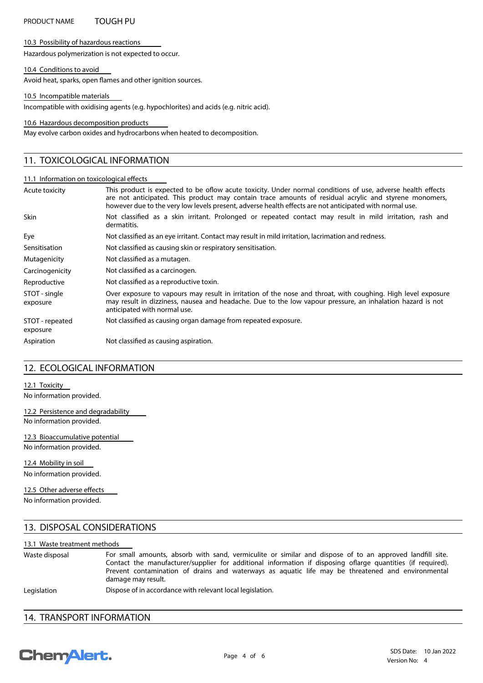## **PRODUCT NAME TOUGH PU**

#### **10.3 Possibility of hazardous reactions**

Hazardous polymerization is not expected to occur.

#### **10.4 Conditions to avoid**

Avoid heat, sparks, open flames and other ignition sources.

**10.5 Incompatible materials**

Incompatible with oxidising agents (e.g. hypochlorites) and acids (e.g. nitric acid).

**10.6 Hazardous decomposition products**

May evolve carbon oxides and hydrocarbons when heated to decomposition.

## **11. TOXICOLOGICAL INFORMATION**

#### 11.1 Information on toxicological effects

| Acute toxicity              | This product is expected to be oflow acute toxicity. Under normal conditions of use, adverse health effects<br>are not anticipated. This product may contain trace amounts of residual acrylic and styrene monomers,<br>however due to the very low levels present, adverse health effects are not anticipated with normal use. |
|-----------------------------|---------------------------------------------------------------------------------------------------------------------------------------------------------------------------------------------------------------------------------------------------------------------------------------------------------------------------------|
| <b>Skin</b>                 | Not classified as a skin irritant. Prolonged or repeated contact may result in mild irritation, rash and<br>dermatitis.                                                                                                                                                                                                         |
| Eye                         | Not classified as an eye irritant. Contact may result in mild irritation, lacrimation and redness.                                                                                                                                                                                                                              |
| Sensitisation               | Not classified as causing skin or respiratory sensitisation.                                                                                                                                                                                                                                                                    |
| Mutagenicity                | Not classified as a mutagen.                                                                                                                                                                                                                                                                                                    |
| Carcinogenicity             | Not classified as a carcinogen.                                                                                                                                                                                                                                                                                                 |
| Reproductive                | Not classified as a reproductive toxin.                                                                                                                                                                                                                                                                                         |
| STOT - single<br>exposure   | Over exposure to vapours may result in irritation of the nose and throat, with coughing. High level exposure<br>may result in dizziness, nausea and headache. Due to the low vapour pressure, an inhalation hazard is not<br>anticipated with normal use.                                                                       |
| STOT - repeated<br>exposure | Not classified as causing organ damage from repeated exposure.                                                                                                                                                                                                                                                                  |
| Aspiration                  | Not classified as causing aspiration.                                                                                                                                                                                                                                                                                           |

## **12. ECOLOGICAL INFORMATION**

**12.1 Toxicity**

No information provided.

**12.2 Persistence and degradability** No information provided.

**12.3 Bioaccumulative potential** No information provided.

**12.4 Mobility in soil** No information provided.

No information provided. 12.5 Other adverse effects

## **13. DISPOSAL CONSIDERATIONS**

#### **13.1 Waste treatment methods**

For small amounts, absorb with sand, vermiculite or similar and dispose of to an approved landfill site. Contact the manufacturer/supplier for additional information if disposing oflarge quantities (if required). Prevent contamination of drains and waterways as aquatic life may be threatened and environmental damage may result. **Waste disposal**

Legislation **Dispose of in accordance with relevant local legislation.** 

## **14. TRANSPORT INFORMATION**

# **ChemAlert.**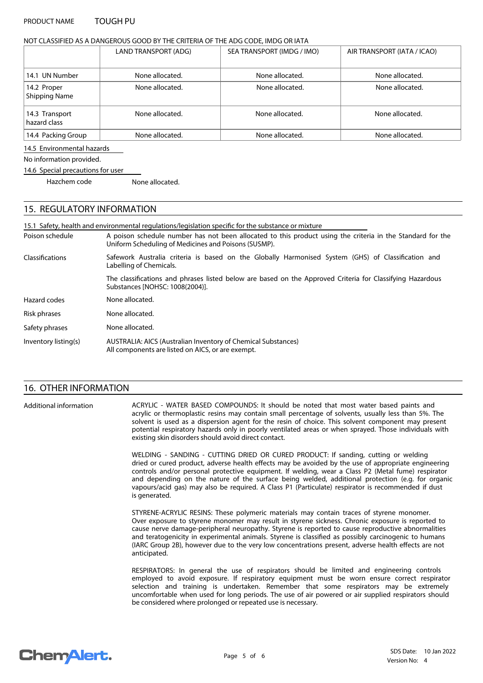#### **PRODUCT NAME TOUGH PU**

#### **NOT CLASSIFIED AS A DANGEROUS GOOD BY THE CRITERIA OF THE ADG CODE, IMDG OR IATA**

|                                     | LAND TRANSPORT (ADG) | SEA TRANSPORT (IMDG / IMO) | AIR TRANSPORT (IATA / ICAO) |
|-------------------------------------|----------------------|----------------------------|-----------------------------|
| 14.1 UN Number                      | None allocated.      | None allocated.            | None allocated.             |
| 14.2 Proper<br><b>Shipping Name</b> | None allocated.      | None allocated.            | None allocated.             |
| 14.3 Transport<br>hazard class      | None allocated.      | None allocated.            | None allocated.             |
| 14.4 Packing Group                  | None allocated.      | None allocated.            | None allocated.             |

#### **14.5 Environmental hazards**

No information provided.

#### **14.6 Special precautions for user**

Hazchem code None allocated.

## **15. REGULATORY INFORMATION**

A poison schedule number has not been allocated to this product using the criteria in the Standard for the Uniform Scheduling of Medicines and Poisons (SUSMP). 15.1 Safety, health and environmental regulations/legislation specific for the substance or mixture **Poison schedule Risk phrases** None allocated. **AUSTRALIA: AICS (Australian Inventory of Chemical Substances)** All components are listed on AICS, or are exempt. **Inventory listing(s)** Safety phrases **None allocated**. **Hazard codes** None allocated. Safework Australia criteria is based on the Globally Harmonised System (GHS) of Classification and Labelling of Chemicals. The classifications and phrases listed below are based on the Approved Criteria for Classifying Hazardous Substances [NOHSC: 1008(2004)]. **Classications**

## **16. OTHER INFORMATION**

**Additional information**

ACRYLIC - WATER BASED COMPOUNDS: It should be noted that most water based paints and acrylic or thermoplastic resins may contain small percentage of solvents, usually less than 5%. The solvent is used as a dispersion agent for the resin of choice. This solvent component may present potential respiratory hazards only in poorly ventilated areas or when sprayed. Those individuals with existing skin disorders should avoid direct contact.

WELDING - SANDING - CUTTING DRIED OR CURED PRODUCT: If sanding, cutting or welding dried or cured product, adverse health effects may be avoided by the use of appropriate engineering controls and/or personal protective equipment. If welding, wear a Class P2 (Metal fume) respirator and depending on the nature of the surface being welded, additional protection (e.g. for organic vapours/acid gas) may also be required. A Class P1 (Particulate) respirator is recommended if dust is generated.

STYRENE-ACRYLIC RESINS: These polymeric materials may contain traces of styrene monomer. Over exposure to styrene monomer may result in styrene sickness. Chronic exposure is reported to cause nerve damage-peripheral neuropathy. Styrene is reported to cause reproductive abnormalities and teratogenicity in experimental animals. Styrene is classified as possibly carcinogenic to humans (IARC Group 2B), however due to the very low concentrations present, adverse health effects are not anticipated.

RESPIRATORS: In general the use of respirators should be limited and engineering controls employed to avoid exposure. If respiratory equipment must be worn ensure correct respirator selection and training is undertaken. Remember that some respirators may be extremely uncomfortable when used for long periods. The use of air powered or air supplied respirators should be considered where prolonged or repeated use is necessary.